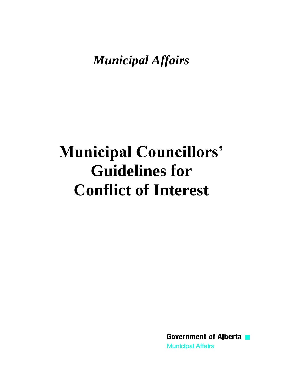*Municipal Affairs* 

# **Municipal Councillors' Guidelines for Conflict of Interest**

**Government of Alberta Municipal Affairs**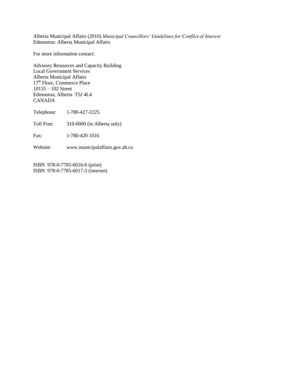Alberta Municipal Affairs (2010) *Municipal Councillors' Guidelines for Conflict of Interest* Edmonton: Alberta Municipal Affairs

For more information contact:

Advisory Resources and Capacity Building Local Government Services Alberta Municipal Affairs 17<sup>th</sup> Floor, Commerce Place 10155 – 102 Street Edmonton, Alberta T5J 4L4 CANADA

Telephone: 1-780-427-2225

Toll Free: 310-0000 (in Alberta only)

Fax: 1-780-420 1016

Website: www.municipalaffairs.gov.ab.ca

ISBN 978-0-7785-6016-6 (print) ISBN 978-0-7785-6017-3 (internet)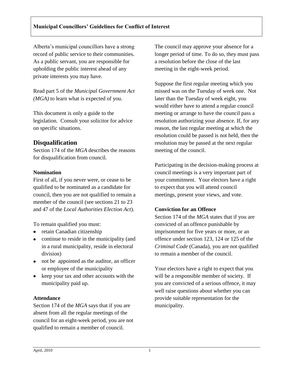Alberta's municipal councillors have a strong record of public service to their communities. As a public servant, you are responsible for upholding the public interest ahead of any private interests you may have.

Read part 5 of the *Municipal Government Act (MGA)* to learn what is expected of you.

This document is only a guide to the legislation. Consult your solicitor for advice on specific situations.

## **Disqualification**

Section 174 of the *MGA* describes the reasons for disqualification from council.

#### **Nomination**

First of all, if you never were, or cease to be qualified to be nominated as a candidate for council, then you are not qualified to remain a member of the council (see sections 21 to 23 and 47 of the *Local Authorities Election Act*).

To remain qualified you must:

- retain Canadian citizenship
- continue to reside in the municipality (and in a rural municipality, reside in electoral division)
- not be appointed as the auditor, an officer or employee of the municipality
- keep your tax and other accounts with the municipality paid up.

## **Attendance**

Section 174 of the *MGA* says that if you are absent from all the regular meetings of the council for an eight-week period, you are not qualified to remain a member of council.

The council may approve your absence for a longer period of time. To do so, they must pass a resolution before the close of the last meeting in the eight-week period.

Suppose the first regular meeting which you missed was on the Tuesday of week one. Not later than the Tuesday of week eight, you would either have to attend a regular council meeting or arrange to have the council pass a resolution authorizing your absence. If, for any reason, the last regular meeting at which the resolution could be passed is not held, then the resolution may be passed at the next regular meeting of the council.

Participating in the decision-making process at council meetings is a very important part of your commitment. Your electors have a right to expect that you will attend council meetings, present your views, and vote.

## **Conviction for an Offence**

Section 174 of the *MGA* states that if you are convicted of an offence punishable by imprisonment for five years or more, or an offence under section 123, 124 or 125 of the *Criminal Code* (Canada), you are not qualified to remain a member of the council.

Your electors have a right to expect that you will be a responsible member of society. If you are convicted of a serious offence, it may well raise questions about whether you can provide suitable representation for the municipality.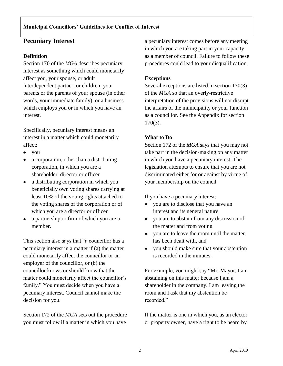## **Pecuniary Interest**

### **Definition**

Section 170 of the *MGA* describes pecuniary interest as something which could monetarily affect you, your spouse, or adult interdependent partner, or children, your parents or the parents of your spouse (in other words, your immediate family), or a business which employs you or in which you have an interest.

Specifically, pecuniary interest means an interest in a matter which could monetarily affect:

- you
- a corporation, other than a distributing corporation, in which you are a shareholder, director or officer
- a distributing corporation in which you beneficially own voting shares carrying at least 10% of the voting rights attached to the voting shares of the corporation or of which you are a director or officer
- a partnership or firm of which you are a member.

This section also says that "a councillor has a pecuniary interest in a matter if (a) the matter could monetarily affect the councillor or an employer of the councillor, or (b) the councillor knows or should know that the matter could monetarily affect the councillor's family." You must decide when you have a pecuniary interest. Council cannot make the decision for you.

Section 172 of the *MGA* sets out the procedure you must follow if a matter in which you have

a pecuniary interest comes before any meeting in which you are taking part in your capacity as a member of council. Failure to follow these procedures could lead to your disqualification.

### **Exceptions**

Several exceptions are listed in section 170(3) of the *MGA* so that an overly-restrictive interpretation of the provisions will not disrupt the affairs of the municipality or your function as a councillor. See the Appendix for section 170(3).

## **What to Do**

Section 172 of the *MGA* says that you may not take part in the decision-making on any matter in which you have a pecuniary interest. The legislation attempts to ensure that you are not discriminated either for or against by virtue of your membership on the council

If you have a pecuniary interest:

- $\bullet$ you are to disclose that you have an interest and its general nature
- you are to abstain from any discussion of  $\bullet$ the matter and from voting
- you are to leave the room until the matter  $\bullet$ has been dealt with, and
- you should make sure that your abstention  $\bullet$ is recorded in the minutes.

For example, you might say "Mr. Mayor, I am abstaining on this matter because I am a shareholder in the company. I am leaving the room and I ask that my abstention be recorded"

If the matter is one in which you, as an elector or property owner, have a right to be heard by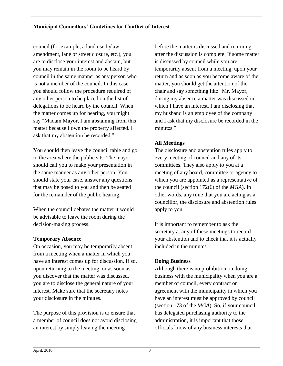council (for example, a land use bylaw amendment, lane or street closure, etc.), you are to disclose your interest and abstain, but you may remain in the room to be heard by council in the same manner as any person who is not a member of the council. In this case, you should follow the procedure required of any other person to be placed on the list of delegations to be heard by the council. When the matter comes up for hearing, you might say "Madam Mayor, I am abstaining from this matter because I own the property affected. I ask that my abstention be recorded."

You should then leave the council table and go to the area where the public sits. The mayor should call you to make your presentation in the same manner as any other person. You should state your case, answer any questions that may be posed to you and then be seated for the remainder of the public hearing.

When the council debates the matter it would be advisable to leave the room during the decision-making process.

## **Temporary Absence**

On occasion, you may be temporarily absent from a meeting when a matter in which you have an interest comes up for discussion. If so, upon returning to the meeting, or as soon as you discover that the matter was discussed, you are to disclose the general nature of your interest. Make sure that the secretary notes your disclosure in the minutes.

The purpose of this provision is to ensure that a member of council does not avoid disclosing an interest by simply leaving the meeting

before the matter is discussed and returning after the discussion is complete. If some matter is discussed by council while you are temporarily absent from a meeting, upon your return and as soon as you become aware of the matter, you should get the attention of the chair and say something like "Mr. Mayor, during my absence a matter was discussed in which I have an interest. I am disclosing that my husband is an employee of the company and I ask that my disclosure be recorded in the minutes."

## **All Meetings**

The disclosure and abstention rules apply to every meeting of council and any of its committees. They also apply to you at a meeting of any board, committee or agency to which you are appointed as a representative of the council (section 172(6) of the *MGA*). In other words, any time that you are acting as a councillor, the disclosure and abstention rules apply to you.

It is important to remember to ask the secretary at any of these meetings to record your abstention and to check that it is actually included in the minutes.

## **Doing Business**

Although there is no prohibition on doing business with the municipality when you are a member of council, every contract or agreement with the municipality in which you have an interest must be approved by council (section 173 of the *MGA*). So, if your council has delegated purchasing authority to the administration, it is important that those officials know of any business interests that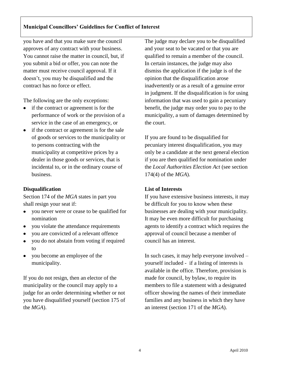## **Municipal Councillors' Guidelines for Conflict of Interest**

you have and that you make sure the council approves of any contract with your business. You cannot raise the matter in council, but, if you submit a bid or offer, you can note the matter must receive council approval. If it doesn't, you may be disqualified and the contract has no force or effect.

The following are the only exceptions:

- if the contract or agreement is for the performance of work or the provision of a service in the case of an emergency, or
- if the contract or agreement is for the sale of goods or services to the municipality or to persons contracting with the municipality at competitive prices by a dealer in those goods or services, that is incidental to, or in the ordinary course of business.

## **Disqualification**

Section 174 of the *MGA* states in part you shall resign your seat if:

- you never were or cease to be qualified for  $\bullet$ nomination
- you violate the attendance requirements
- you are convicted of a relevant offence
- you do not abstain from voting if required to
- $\bullet$ you become an employee of the municipality.

If you do not resign, then an elector of the municipality or the council may apply to a judge for an order determining whether or not you have disqualified yourself (section 175 of the *MGA*).

The judge may declare you to be disqualified and your seat to be vacated or that you are qualified to remain a member of the council. In certain instances, the judge may also dismiss the application if the judge is of the opinion that the disqualification arose inadvertently or as a result of a genuine error in judgment. If the disqualification is for using information that was used to gain a pecuniary benefit, the judge may order you to pay to the municipality, a sum of damages determined by the court.

If you are found to be disqualified for pecuniary interest disqualification, you may only be a candidate at the next general election if you are then qualified for nomination under the *Local Authorities Election Act* (see section 174(4) of the *MGA*).

#### **List of Interests**

If you have extensive business interests, it may be difficult for you to know when these businesses are dealing with your municipality. It may be even more difficult for purchasing agents to identify a contract which requires the approval of council because a member of council has an interest.

In such cases, it may help everyone involved – yourself included - if a listing of interests is available in the office. Therefore, provision is made for council, by bylaw, to require its members to file a statement with a designated officer showing the names of their immediate families and any business in which they have an interest (section 171 of the *MGA*).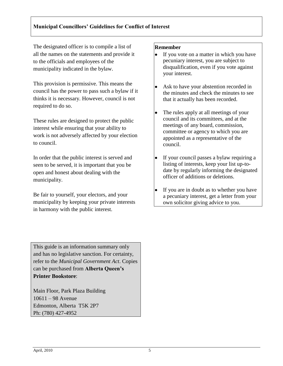## **Municipal Councillors' Guidelines for Conflict of Interest**

The designated officer is to compile a list of all the names on the statements and provide it to the officials and employees of the municipality indicated in the bylaw.

This provision is permissive. This means the council has the power to pass such a bylaw if it thinks it is necessary. However, council is not required to do so.

These rules are designed to protect the public interest while ensuring that your ability to work is not adversely affected by your election to council.

In order that the public interest is served and seen to be served, it is important that you be open and honest about dealing with the municipality.

Be fair to yourself, your electors, and your municipality by keeping your private interests in harmony with the public interest.

This guide is an information summary only and has no legislative sanction. For certainty, refer to the *Municipal Government Act*. Copies can be purchased from **Alberta Queen's Printer Bookstore**:

Main Floor, Park Plaza Building 10611 – 98 Avenue Edmonton, Alberta T5K 2P7 Ph: (780) 427-4952

#### **Remember**

- If you vote on a matter in which you have pecuniary interest, you are subject to disqualification, even if you vote against your interest.
- Ask to have your abstention recorded in the minutes and check the minutes to see that it actually has been recorded.
- The rules apply at all meetings of your council and its committees, and at the meetings of any board, commission, committee or agency to which you are appointed as a representative of the council.
- If your council passes a bylaw requiring a listing of interests, keep your list up-todate by regularly informing the designated officer of additions or deletions.
- If you are in doubt as to whether you have a pecuniary interest, get a letter from your own solicitor giving advice to you.